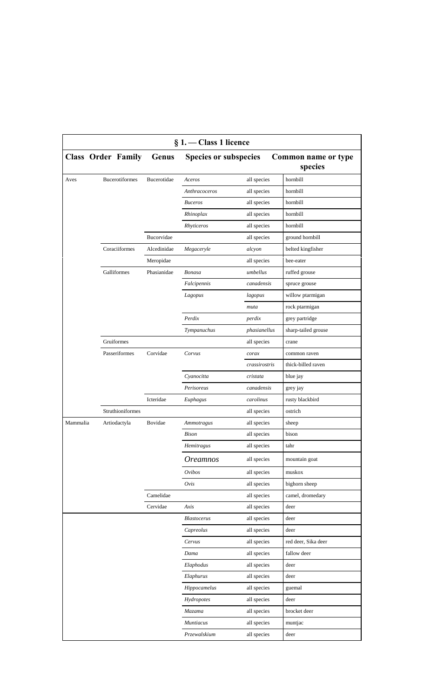| $§ 1.$ - Class 1 licence |                           |             |                              |               |                                       |  |
|--------------------------|---------------------------|-------------|------------------------------|---------------|---------------------------------------|--|
|                          | <b>Class Order Family</b> | Genus       | <b>Species or subspecies</b> |               | <b>Common name or type</b><br>species |  |
| Aves                     | <b>Bucerotiformes</b>     | Bucerotidae | Aceros                       | all species   | hornbill                              |  |
|                          |                           |             | Anthracoceros                | all species   | hornbill                              |  |
|                          |                           |             | <b>Buceros</b>               | all species   | hornbill                              |  |
|                          |                           |             | Rhinoplax                    | all species   | hornbill                              |  |
|                          |                           |             | Rhyticeros                   | all species   | hornbill                              |  |
|                          |                           | Bucorvidae  |                              | all species   | ground hornbill                       |  |
|                          | Coraciiformes             | Alcedinidae | Megaceryle                   | alcyon        | belted kingfisher                     |  |
|                          |                           | Meropidae   |                              | all species   | bee-eater                             |  |
|                          | Galliformes               | Phasianidae | <b>Bonasa</b>                | umbellus      | ruffed grouse                         |  |
|                          |                           |             | Falcipennis                  | canadensis    | spruce grouse                         |  |
|                          |                           |             | Lagopus                      | lagopus       | willow ptarmigan                      |  |
|                          |                           |             |                              | muta          | rock ptarmigan                        |  |
|                          |                           |             | Perdix                       | perdix        | grey partridge                        |  |
|                          |                           |             | Tympanuchus                  | phasianellus  | sharp-tailed grouse                   |  |
|                          | Gruiformes                |             |                              | all species   | crane                                 |  |
|                          | Passeriformes             | Corvidae    | Corvus                       | corax         | common raven                          |  |
|                          |                           |             |                              | crassirostris | thick-billed raven                    |  |
|                          |                           |             | Cyanocitta                   | cristata      | blue jay                              |  |
|                          |                           |             | Perisoreus                   | canadensis    | grey jay                              |  |
|                          |                           | Icteridae   | Euphagus                     | carolinus     | rusty blackbird                       |  |
|                          | Struthioniformes          |             |                              | all species   | ostrich                               |  |
| Mammalia                 | Artiodactyla              | Bovidae     | Ammotragus                   | all species   | sheep                                 |  |
|                          |                           |             | <b>Bison</b>                 | all species   | bison                                 |  |
|                          |                           |             | Hemitragus                   | all species   | tahr                                  |  |
|                          |                           |             | <b>Oreamnos</b>              | all species   | mountain goat                         |  |
|                          |                           |             | Ovibos                       | all species   | muskox                                |  |
|                          |                           |             | Ovis                         | all species   | bighorn sheep                         |  |
|                          |                           | Camelidae   |                              | all species   | camel, dromedary                      |  |
|                          |                           | Cervidae    | Axis                         | all species   | deer                                  |  |
|                          |                           |             | <b>Blastocerus</b>           | all species   | deer                                  |  |
|                          |                           |             | Capreolus                    | all species   | deer                                  |  |
|                          |                           |             | Cervus                       | all species   | red deer, Sika deer                   |  |
|                          |                           |             | Dama                         | all species   | fallow deer                           |  |
|                          |                           |             | Elaphodus                    | all species   | deer                                  |  |
|                          |                           |             | Elaphurus                    | all species   | deer                                  |  |
|                          |                           |             | Hippocamelus                 | all species   | guemal                                |  |
|                          |                           |             | Hydropotes                   | all species   | deer                                  |  |
|                          |                           |             | Mazama                       | all species   | brocket deer                          |  |
|                          |                           |             | <b>Muntiacus</b>             | all species   | muntjac                               |  |
|                          |                           |             | Przewalskium                 | all species   | deer                                  |  |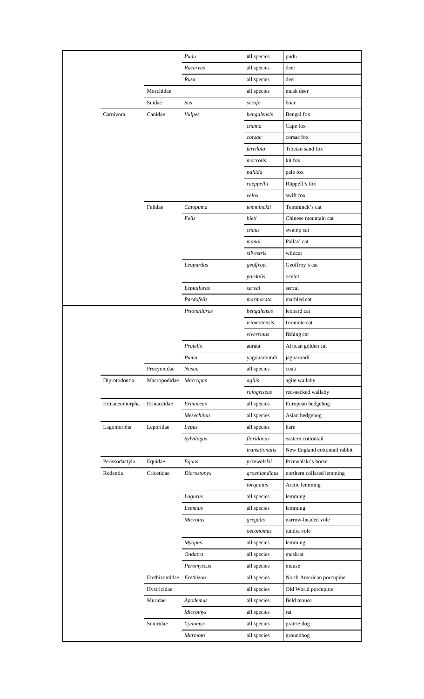|                |                          | Pudu            | all species     | pudu                          |
|----------------|--------------------------|-----------------|-----------------|-------------------------------|
|                |                          | Rucervus        | all species     | deer                          |
|                |                          | Rusa            | all species     | deer                          |
|                | Moschidae                |                 | all species     | musk deer                     |
|                | Suidae                   | Sus             | scrofa          | boar                          |
|                |                          |                 |                 |                               |
| Carnivora      | Canidae                  | <b>Vulpes</b>   | bengalensis     | Bengal fox                    |
|                |                          |                 | chama           | Cape fox                      |
|                |                          |                 | corsac          | corsac fox                    |
|                |                          |                 | ferrilata       | Tibetan sand fox              |
|                |                          |                 | macrotis        | kit fox                       |
|                |                          |                 | pallida         | pale fox                      |
|                |                          |                 | rueppellii      | Rüppell's fox                 |
|                |                          |                 | velox           | swift fox                     |
|                | Felidae                  | Catopuma        | temminckii      | Temminck's cat                |
|                |                          | Felis           | bieti           | Chinese mountain cat          |
|                |                          |                 | chaus           | swamp cat                     |
|                |                          |                 | manul           | Pallas' cat                   |
|                |                          |                 | silvestris      | wildcat                       |
|                |                          | Leopardus       | geoffroyi       | Geoffroy's cat                |
|                |                          |                 | $\it partialis$ | ocelot                        |
|                |                          | Leptailurus     | serval          | serval                        |
|                |                          | Pardofelis      | marmorata       | marbled cat                   |
|                |                          | Prionailurus    | bengalensis     | leopard cat                   |
|                |                          |                 | iriomotensis    | Iriomote cat                  |
|                |                          |                 | viverrinus      | fishing cat                   |
|                |                          | Profelis        | aurata          | African golden cat            |
|                |                          | Puma            | yagouaroundi    | jaguarundi                    |
|                | Procyonidae              | Nasua           | all species     | coati                         |
| Diprotodontia  | Macropodidae             | <b>Macropus</b> | agilis          | agile wallaby                 |
|                |                          |                 | rufogriseus     | red-necked wallaby            |
| Erinaceomorpha | Erinaceidae              | Erinaceus       | all species     | European hedgehog             |
|                |                          | Mesechinus      | all species     | Asian hedgehog                |
| Lagomorpha     | Leporidae                | Lepus           | all species     | hare                          |
|                |                          | Sylvilagus      | floridanus      | eastern cottontail            |
|                |                          |                 | transitionalis  | New England cottontail rabbit |
| Perissodactyla | Equidae                  | Equus           | przewalskii     | Przewalski's horse            |
| Rodentia       | Cricetidae               | Dicrostonyx     | groenlandicus   | northern collared lemming     |
|                |                          |                 | torquatus       | Arctic lemming                |
|                |                          | Lagurus         | all species     | lemming                       |
|                |                          | Lemmus          | all species     | lemming                       |
|                |                          | <b>Microtus</b> | gregalis        | narrow-headed vole            |
|                |                          |                 | oeconomus       | tundra vole                   |
|                |                          | Myopus          | all species     | lemming                       |
|                |                          | Ondatra         | all species     | muskrat                       |
|                |                          | Peromyscus      | all species     | mouse                         |
|                | Erethizontidae Erethizon |                 | all species     | North American porcupine      |
|                |                          |                 |                 | Old World porcupine           |
|                | Hystricidae              |                 | all species     |                               |
|                | Muridae                  | Apodemus        | all species     | field mouse                   |
|                |                          | <b>Micromys</b> | all species     | rat                           |
|                | Sciuridae                | Cynomys         | all species     | prairie dog                   |
|                |                          | Marmota         | all species     | groundhog                     |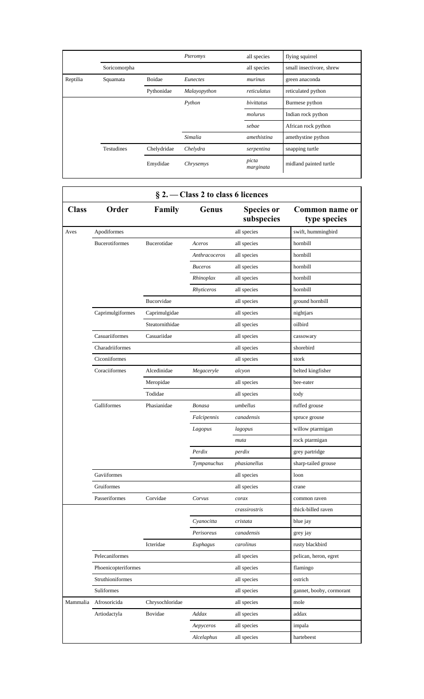|          |              |             | Pteromys     | all species        | flying squirrel          |
|----------|--------------|-------------|--------------|--------------------|--------------------------|
|          | Soricomorpha |             |              | all species        | small insectivore, shrew |
| Reptilia | Squamata     | Boidae      | Eunectes     | murinus            | green anaconda           |
|          |              | Pythonidae  | Malayopython | reticulatus        | reticulated python       |
|          |              |             | Python       | bivittatus         | Burmese python           |
|          |              |             |              | molurus            | Indian rock python       |
|          |              |             |              | sebae              | African rock python      |
|          |              |             | Simalia      | amethistina        | amethystine python       |
|          | Testudines   | Chelydridae | Chelydra     | serpentina         | snapping turtle          |
|          |              | Emydidae    | Chrysemys    | picta<br>marginata | midland painted turtle   |

|              | § 2. – Class 2 to class 6 licences |                 |                |                                 |                                       |  |
|--------------|------------------------------------|-----------------|----------------|---------------------------------|---------------------------------------|--|
| <b>Class</b> | Order                              | Family          | Genus          | <b>Species or</b><br>subspecies | <b>Common name or</b><br>type species |  |
| Aves         | Apodiformes                        |                 |                | all species                     | swift, hummingbird                    |  |
|              | <b>Bucerotiformes</b>              | Bucerotidae     | Aceros         | all species                     | hornbill                              |  |
|              |                                    |                 | Anthracoceros  | all species                     | hornbill                              |  |
|              |                                    |                 | <b>Buceros</b> | all species                     | hornbill                              |  |
|              |                                    |                 | Rhinoplax      | all species                     | hornbill                              |  |
|              |                                    |                 | Rhyticeros     | all species                     | hornbill                              |  |
|              |                                    | Bucorvidae      |                | all species                     | ground hornbill                       |  |
|              | Caprimulgiformes                   | Caprimulgidae   |                | all species                     | nightjars                             |  |
|              |                                    | Steatornithidae |                | all species                     | oilbird                               |  |
|              | Casuariiformes                     | Casuariidae     |                | all species                     | cassowary                             |  |
|              | Charadriiformes                    |                 |                | all species                     | shorebird                             |  |
|              | Ciconiiformes                      |                 |                | all species                     | stork                                 |  |
|              | Coraciiformes                      | Alcedinidae     | Megaceryle     | alcyon                          | belted kingfisher                     |  |
|              |                                    | Meropidae       |                | all species                     | bee-eater                             |  |
|              |                                    | Todidae         |                | all species                     | tody                                  |  |
|              | Galliformes                        | Phasianidae     | Bonasa         | umbellus                        | ruffed grouse                         |  |
|              |                                    |                 | Falcipennis    | canadensis                      | spruce grouse                         |  |
|              |                                    |                 | Lagopus        | lagopus                         | willow ptarmigan                      |  |
|              |                                    |                 |                | muta                            | rock ptarmigan                        |  |
|              |                                    |                 | Perdix         | perdix                          | grey partridge                        |  |
|              |                                    |                 | Tympanuchus    | phasianellus                    | sharp-tailed grouse                   |  |
|              | Gaviiformes                        |                 |                | all species                     | loon                                  |  |
|              | Gruiformes                         |                 |                | all species                     | crane                                 |  |
|              | Passeriformes                      | Corvidae        | Corvus         | corax                           | common raven                          |  |
|              |                                    |                 |                | crassirostris                   | thick-billed raven                    |  |
|              |                                    |                 | Cyanocitta     | cristata                        | blue jay                              |  |
|              |                                    |                 | Perisoreus     | canadensis                      | grey jay                              |  |
|              |                                    | Icteridae       | Euphagus       | carolinus                       | rusty blackbird                       |  |
|              | Pelecaniformes                     |                 |                | all species                     | pelican, heron, egret                 |  |
|              | Phoenicopteriformes                |                 |                | all species                     | flamingo                              |  |
|              | Struthioniformes                   |                 |                | all species                     | ostrich                               |  |
|              | Suliformes                         |                 |                | all species                     | gannet, booby, cormorant              |  |
|              | Mammalia Afrosoricida              | Chrysochloridae |                | all species                     | mole                                  |  |
|              | Artiodactyla                       | Bovidae         | Addax          | all species                     | addax                                 |  |
|              |                                    |                 | Aepyceros      | all species                     | impala                                |  |
|              |                                    |                 | Alcelaphus     | all species                     | hartebeest                            |  |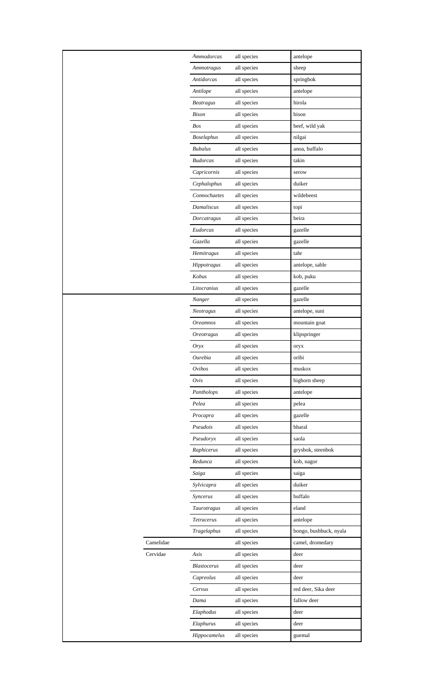|           | Ammodorcas         | all species | antelope               |
|-----------|--------------------|-------------|------------------------|
|           | Ammotragus         | all species | sheep                  |
|           | Antidorcas         | all species | springbok              |
|           | Antilope           | all species | antelope               |
|           | <b>Beatragus</b>   | all species | hirola                 |
|           | <b>Bison</b>       | all species | bison                  |
|           | <b>Bos</b>         | all species | beef, wild yak         |
|           | <b>Boselaphus</b>  | all species | nilgai                 |
|           | <b>Bubalus</b>     | all species | anoa, buffalo          |
|           | <b>Budorcas</b>    | all species | takin                  |
|           | Capricornis        | all species | serow                  |
|           | Cephalophus        | all species | duiker                 |
|           | Connochaetes       | all species | wildebeest             |
|           | Damaliscus         | all species | topi                   |
|           | Dorcatragus        | all species | beira                  |
|           | Eudorcas           | all species | gazelle                |
|           | Gazella            | all species | gazelle                |
|           | Hemitragus         | all species | tahr                   |
|           | Hippotragus        | all species | antelope, sable        |
|           | Kobus              | all species | kob, puku              |
|           | Litocranius        | all species | gazelle                |
|           | Nanger             | all species | gazelle                |
|           | Neotragus          | all species | antelope, suni         |
|           | <b>Oreamnos</b>    | all species | mountain goat          |
|           | <b>Oreotragus</b>  | all species | klipspringer           |
|           | Oryx               | all species | oryx                   |
|           | Ourebia            | all species | oribi                  |
|           | Ovibos             | all species | muskox                 |
|           | Ovis               | all species | bighorn sheep          |
|           | Pantholops         | all species | antelope               |
|           | Pelea              | all species | pelea                  |
|           | Procapra           | all species | gazelle                |
|           | Pseudois           | all species | bharal                 |
|           | Pseudoryx          | all species | saola                  |
|           | Raphicerus         | all species | grysbok, steenbok      |
|           | Redunca            | all species | kob, nagor             |
|           | Saiga              | all species | saiga                  |
|           | Sylvicapra         | all species | duiker                 |
|           | Syncerus           | all species | buffalo                |
|           | Taurotragus        | all species | eland                  |
|           | Tetracerus         | all species | antelope               |
|           | Tragelaphus        | all species | bongo, bushbuck, nyala |
| Camelidae |                    | all species | camel, dromedary       |
| Cervidae  | Axis               | all species | deer                   |
|           | <b>Blastocerus</b> | all species | deer                   |
|           | Capreolus          | all species | deer                   |
|           | Cervus             | all species | red deer, Sika deer    |
|           | Dama               | all species | fallow deer            |
|           | Elaphodus          | all species | deer                   |
|           | Elaphurus          | all species | deer                   |
|           | Hippocamelus       | all species | guemal                 |
|           |                    |             |                        |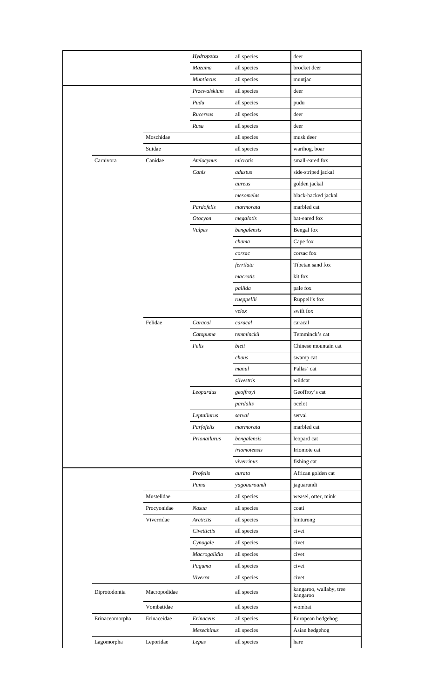|                |              | Hydropotes       | all species      | deer                                |
|----------------|--------------|------------------|------------------|-------------------------------------|
|                |              | Mazama           | all species      | brocket deer                        |
|                |              | <b>Muntiacus</b> | all species      | muntjac                             |
|                |              | Przewalskium     | all species      | deer                                |
|                |              | Pudu             | all species      | pudu                                |
|                |              | Rucervus         | all species      | deer                                |
|                |              | Rusa             | all species      | deer                                |
|                | Moschidae    |                  | all species      | musk deer                           |
|                | Suidae       |                  | all species      | warthog, boar                       |
| Carnivora      | Canidae      | Atelocynus       | microtis         | small-eared fox                     |
|                |              | Canis            | adustus          | side-striped jackal                 |
|                |              |                  | aureus           | golden jackal                       |
|                |              |                  | mesomelas        | black-backed jackal                 |
|                |              | Pardofelis       | marmorata        | marbled cat                         |
|                |              | Otocyon          | megalotis        | bat-eared fox                       |
|                |              | <b>Vulpes</b>    | bengalensis      | Bengal fox                          |
|                |              |                  | chama            | Cape fox                            |
|                |              |                  |                  |                                     |
|                |              |                  | corsac           | corsac fox                          |
|                |              |                  | ferrilata        | Tibetan sand fox                    |
|                |              |                  | macrotis         | kit fox                             |
|                |              |                  | pallida          | pale fox                            |
|                |              |                  | rueppellii       | Rüppell's fox                       |
|                |              |                  | velox            | swift fox                           |
|                | Felidae      | Caracal          | caracal          | caracal                             |
|                |              | Catopuma         | $t$ emmincki $i$ | Temminck's cat                      |
|                |              | Felis            | bieti            | Chinese mountain cat                |
|                |              |                  | chaus            | swamp cat                           |
|                |              |                  | manul            | Pallas' cat                         |
|                |              |                  | silvestris       | wildcat                             |
|                |              | Leopardus        | geoffroyi        | Geoffroy's cat                      |
|                |              |                  | pardalis         | ocelot                              |
|                |              | Leptailurus      | serval           | serval                              |
|                |              | Parfofelis       | marmorata        | marbled cat                         |
|                |              | Prionailurus     | bengalensis      | leopard cat                         |
|                |              |                  | iriomotensis     | Iriomote cat                        |
|                |              |                  | viverrinus       | fishing cat                         |
|                |              | Profelis         | aurata           | African golden cat                  |
|                |              | Puma             | yagouaroundi     | jaguarundi                          |
|                | Mustelidae   |                  | all species      | weasel, otter, mink                 |
|                | Procyonidae  | Nasua            | all species      | coati                               |
|                | Viverridae   | <b>Arctictis</b> | all species      | binturong                           |
|                |              | Civettictis      | all species      | civet                               |
|                |              | Cynogale         | all species      | civet                               |
|                |              | Macrogalidia     | all species      | civet                               |
|                |              | Paguma           | all species      | civet                               |
|                |              | Viverra          | all species      | civet                               |
| Diprotodontia  | Macropodidae |                  | all species      | kangaroo, wallaby, tree<br>kangaroo |
|                | Vombatidae   |                  | all species      | wombat                              |
| Erinaceomorpha | Erinaceidae  | Erinaceus        | all species      | European hedgehog                   |
|                |              | Mesechinus       | all species      | Asian hedgehog                      |
| Lagomorpha     | Leporidae    | Lepus            | all species      | hare                                |
|                |              |                  |                  |                                     |